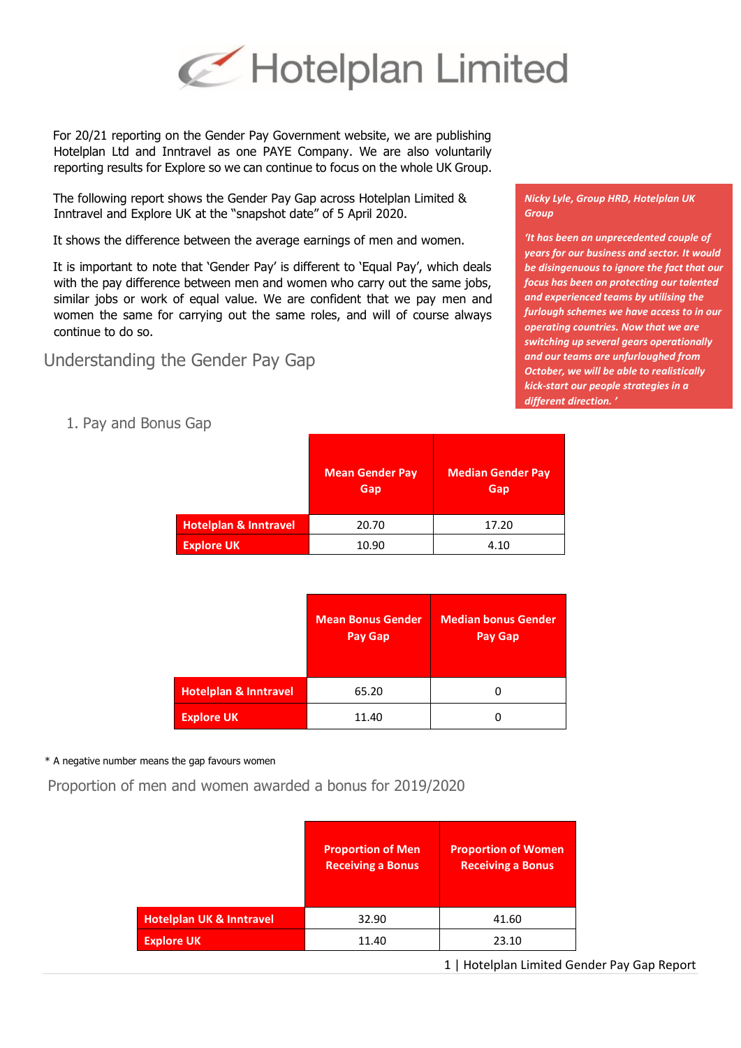

For 20/21 reporting on the Gender Pay Government website, we are publishing Hotelplan Ltd and Inntravel as one PAYE Company. We are also voluntarily reporting results for Explore so we can continue to focus on the whole UK Group.

The following report shows the Gender Pay Gap across Hotelplan Limited & Inntravel and Explore UK at the "snapshot date" of 5 April 2020.

It shows the difference between the average earnings of men and women.

It is important to note that 'Gender Pay' is different to 'Equal Pay', which deals with the pay difference between men and women who carry out the same jobs, similar jobs or work of equal value. We are confident that we pay men and women the same for carrying out the same roles, and will of course always continue to do so.

Understanding the Gender Pay Gap

*Nicky Lyle, Group HRD, Hotelplan UK Group*

*'It has been an unprecedented couple of years for our business and sector. It would be disingenuous to ignore the fact that our focus has been on protecting our talented and experienced teams by utilising the furlough schemes we have access to in our operating countries. Now that we are switching up several gears operationally and our teams are unfurloughed from October, we will be able to realistically kick-start our people strategies in a different direction. '* 

1. Pay and Bonus Gap

|                                  | <b>Mean Gender Pay</b><br>Gap | <b>Median Gender Pay</b><br>Gap |
|----------------------------------|-------------------------------|---------------------------------|
| <b>Hotelplan &amp; Inntravel</b> | 20.70                         | 17.20                           |
| <b>Explore UK</b>                | 10.90                         | 4.10                            |

|                                  | <b>Mean Bonus Gender</b><br><b>Pay Gap</b> | <b>Median bonus Gender</b><br><b>Pay Gap</b> |
|----------------------------------|--------------------------------------------|----------------------------------------------|
| <b>Hotelplan &amp; Inntravel</b> | 65.20                                      |                                              |
| <b>Explore UK</b>                | 11.40                                      |                                              |

## \* A negative number means the gap favours women

Proportion of men and women awarded a bonus for 2019/2020

|                                     | <b>Proportion of Men</b><br><b>Receiving a Bonus</b> | <b>Proportion of Women</b><br><b>Receiving a Bonus</b> |
|-------------------------------------|------------------------------------------------------|--------------------------------------------------------|
| <b>Hotelplan UK &amp; Inntravel</b> | 32.90                                                | 41.60                                                  |
| <b>Explore UK</b>                   | 11.40                                                | 23.10                                                  |

1 | Hotelplan Limited Gender Pay Gap Report